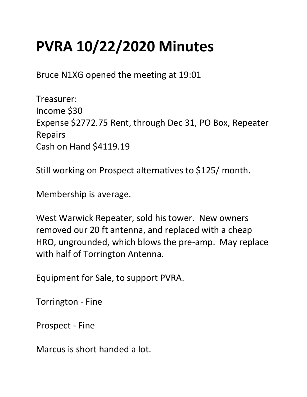## PVRA 10/22/2020 Minutes

Bruce N1XG opened the meeting at 19:01

Treasurer: Income \$30 Expense \$2772.75 Rent, through Dec 31, PO Box, Repeater Repairs Cash on Hand \$4119.19

Still working on Prospect alternatives to \$125/ month.

Membership is average.

West Warwick Repeater, sold his tower. New owners removed our 20 ft antenna, and replaced with a cheap HRO, ungrounded, which blows the pre-amp. May replace with half of Torrington Antenna.

Equipment for Sale, to support PVRA.

Torrington - Fine

Prospect - Fine

Marcus is short handed a lot.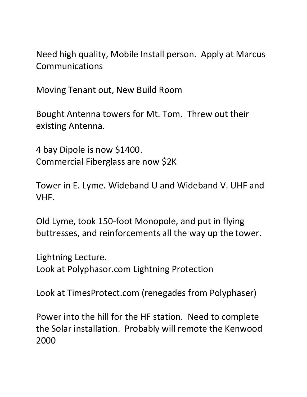Need high quality, Mobile Install person. Apply at Marcus Communications

Moving Tenant out, New Build Room

Bought Antenna towers for Mt. Tom. Threw out their existing Antenna.

4 bay Dipole is now \$1400. Commercial Fiberglass are now \$2K

Tower in E. Lyme. Wideband U and Wideband V. UHF and VHF.

Old Lyme, took 150-foot Monopole, and put in flying buttresses, and reinforcements all the way up the tower.

Lightning Lecture.

Look at Polyphasor.com Lightning Protection

Look at TimesProtect.com (renegades from Polyphaser)

Power into the hill for the HF station. Need to complete the Solar installation. Probably will remote the Kenwood 2000